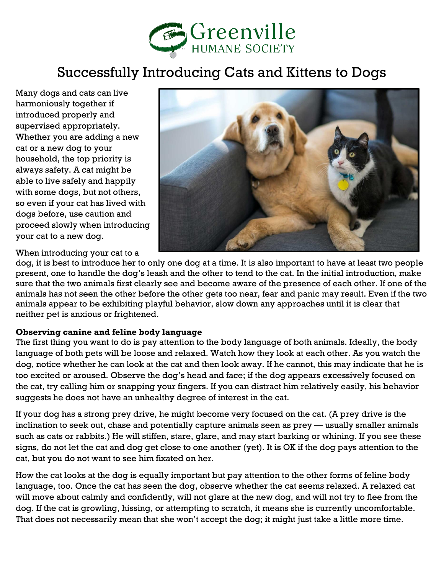

# Successfully Introducing Cats and Kittens to Dogs

Many dogs and cats can live harmoniously together if introduced properly and supervised appropriately. Whether you are adding a new cat or a new dog to your household, the top priority is always safety. A cat might be able to live safely and happily with some dogs, but not others, so even if your cat has lived with dogs before, use caution and proceed slowly when introducing your cat to a new dog.



When introducing your cat to a

dog, it is best to introduce her to only one dog at a time. It is also important to have at least two people present, one to handle the dog's leash and the other to tend to the cat. In the initial introduction, make sure that the two animals first clearly see and become aware of the presence of each other. If one of the animals has not seen the other before the other gets too near, fear and panic may result. Even if the two animals appear to be exhibiting playful behavior, slow down any approaches until it is clear that neither pet is anxious or frightened.

#### **Observing canine and feline body language**

The first thing you want to do is pay attention to the body language of both animals. Ideally, the body language of both pets will be loose and relaxed. Watch how they look at each other. As you watch the dog, notice whether he can look at the cat and then look away. If he cannot, this may indicate that he is too excited or aroused. Observe the dog's head and face; if the dog appears excessively focused on the cat, try calling him or snapping your fingers. If you can distract him relatively easily, his behavior suggests he does not have an unhealthy degree of interest in the cat.

If your dog has a strong prey drive, he might become very focused on the cat. (A prey drive is the inclination to seek out, chase and potentially capture animals seen as prey — usually smaller animals such as cats or rabbits.) He will stiffen, stare, glare, and may start barking or whining. If you see these signs, do not let the cat and dog get close to one another (yet). It is OK if the dog pays attention to the cat, but you do not want to see him fixated on her.

How the cat looks at the dog is equally important but pay attention to the other forms of feline body language, too. Once the cat has seen the dog, observe whether the cat seems relaxed. A relaxed cat will move about calmly and confidently, will not glare at the new dog, and will not try to flee from the dog. If the cat is growling, hissing, or attempting to scratch, it means she is currently uncomfortable. That does not necessarily mean that she won't accept the dog; it might just take a little more time.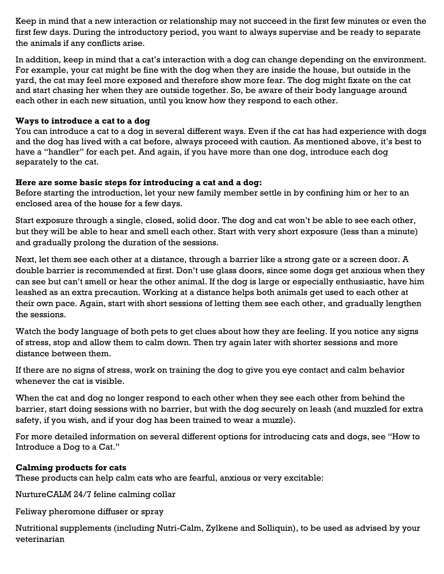Keep in mind that a new interaction or relationship may not succeed in the first few minutes or even the first few days. During the introductory period, you want to always supervise and be ready to separate the animals if any conflicts arise.

In addition, keep in mind that a cat's interaction with a dog can change depending on the environment. For example, your cat might be fine with the dog when they are inside the house, but outside in the yard, the cat may feel more exposed and therefore show more fear. The dog might fixate on the cat and start chasing her when they are outside together. So, be aware of their body language around each other in each new situation, until you know how they respond to each other.

### **Ways to introduce a cat to a dog**

You can introduce a cat to a dog in several different ways. Even if the cat has had experience with dogs and the dog has lived with a cat before, always proceed with caution. As mentioned above, it's best to have a "handler" for each pet. And again, if you have more than one dog, introduce each dog separately to the cat.

### **Here are some basic steps for introducing a cat and a dog:**

Before starting the introduction, let your new family member settle in by confining him or her to an enclosed area of the house for a few days.

Start exposure through a single, closed, solid door. The dog and cat won't be able to see each other, but they will be able to hear and smell each other. Start with very short exposure (less than a minute) and gradually prolong the duration of the sessions.

Next, let them see each other at a distance, through a barrier like a strong gate or a screen door. A double barrier is recommended at first. Don't use glass doors, since some dogs get anxious when they can see but can't smell or hear the other animal. If the dog is large or especially enthusiastic, have him leashed as an extra precaution. Working at a distance helps both animals get used to each other at their own pace. Again, start with short sessions of letting them see each other, and gradually lengthen the sessions.

Watch the body language of both pets to get clues about how they are feeling. If you notice any signs of stress, stop and allow them to calm down. Then try again later with shorter sessions and more distance between them.

If there are no signs of stress, work on training the dog to give you eye contact and calm behavior whenever the cat is visible.

When the cat and dog no longer respond to each other when they see each other from behind the barrier, start doing sessions with no barrier, but with the dog securely on leash (and muzzled for extra safety, if you wish, and if your dog has been trained to wear a muzzle).

For more detailed information on several different options for introducing cats and dogs, see "How to Introduce a Dog to a Cat."

## **Calming products for cats**

These products can help calm cats who are fearful, anxious or very excitable:

NurtureCALM 24/7 feline calming collar

Feliway pheromone diffuser or spray

Nutritional supplements (including Nutri-Calm, Zylkene and Solliquin), to be used as advised by your veterinarian